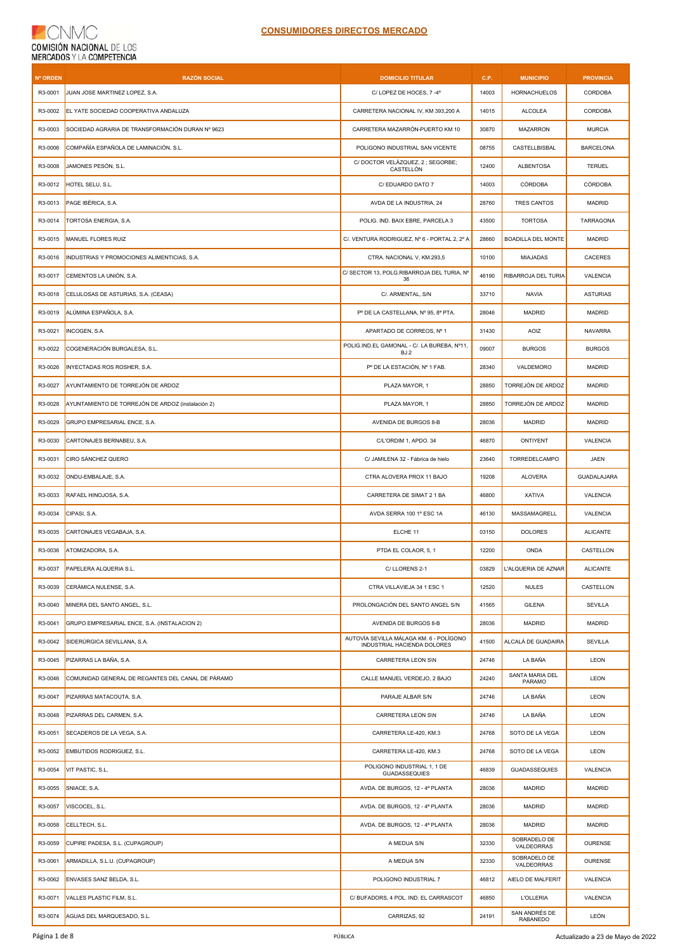| <b>Nº ORDEN</b> | <b>RAZÓN SOCIAL</b>                               | <b>DOMICILIO TITULAR</b>                                               | C.P.  | <b>MUNICIPIO</b>                | <b>PROVINCIA</b> |
|-----------------|---------------------------------------------------|------------------------------------------------------------------------|-------|---------------------------------|------------------|
| R3-0001         | JUAN JOSE MARTINEZ LOPEZ, S.A.                    | C/LOPEZ DE HOCES, 7 -4°                                                | 14003 | <b>HORNACHUELOS</b>             | <b>CORDOBA</b>   |
| R3-0002         | EL YATE SOCIEDAD COOPERATIVA ANDALUZA             | CARRETERA NACIONAL IV, KM 393,200 A                                    | 14015 | <b>ALCOLEA</b>                  | CORDOBA          |
| R3-0003         | SOCIEDAD AGRARIA DE TRANSFORMACIÓN DURAN Nº 9623  | CARRETERA MAZARRÓN-PUERTO KM 10                                        | 30870 | MAZARRON                        | <b>MURCIA</b>    |
| R3-0006         | COMPAÑÍA ESPAÑOLA DE LAMINACIÓN, S.L.             | POLIGONO INDUSTRIAL SAN VICENTE                                        | 08755 | CASTELLBISBAL                   | <b>BARCELONA</b> |
| R3-0008         | JAMONES PESÓN, S.L.                               | C/DOCTOR VELÁZQUEZ, 2; SEGORBE;<br>CASTELLÓN                           | 12400 | <b>ALBENTOSA</b>                | <b>TERUEL</b>    |
| R3-0012         | HOTEL SELU, S.L.                                  | C/ EDUARDO DATO 7                                                      | 14003 | CÓRDOBA                         | <b>CÓRDOBA</b>   |
| R3-0013         | PAGE IBÉRICA, S.A.                                | AVDA DE LA INDUSTRIA, 24                                               | 28760 | TRES CANTOS                     | MADRID           |
| R3-0014         | TORTOSA ENERGIA, S.A.                             | POLIG. IND. BAIX EBRE, PARCELA 3                                       | 43500 | <b>TORTOSA</b>                  | <b>TARRAGONA</b> |
| R3-0015         | MANUEL FLORES RUIZ                                | C/. VENTURA RODRIGUEZ, Nº 6 - PORTAL 2, 2º A                           | 28660 | <b>BOADILLA DEL MONTE</b>       | MADRID           |
| R3-0016         | INDUSTRIAS Y PROMOCIONES ALIMENTICIAS, S.A.       | CTRA. NACIONAL V, KM.293,5                                             | 10100 | MIAJADAS                        | CACERES          |
| R3-0017         | CEMENTOS LA UNIÓN, S.A.                           | C/ SECTOR 13, POLG.RIBARROJA DEL TURIA, Nº<br>36                       | 46190 | RIBARROJA DEL TURIA             | VALENCIA         |
| R3-0018         | CELULOSAS DE ASTURIAS, S.A. (CEASA)               | C/. ARMENTAL, S/N                                                      | 33710 | <b>NAVIA</b>                    | <b>ASTURIAS</b>  |
| R3-0019         | ALÚMINA ESPAÑOLA, S.A.                            | P° DE LA CASTELLANA, N° 95, 8ª PTA.                                    | 28046 | <b>MADRID</b>                   | <b>MADRID</b>    |
| R3-0021         | INCOGEN, S.A.                                     | APARTADO DE CORREOS. Nº 1                                              | 31430 | AOIZ                            | <b>NAVARRA</b>   |
| R3-0022         | COGENERACIÓN BURGALESA, S.L.                      | POLIG.IND.EL GAMONAL - C/. LA BUREBA, Nº11,<br>BJ.2                    | 09007 | <b>BURGOS</b>                   | <b>BURGOS</b>    |
| R3-0026         | INYECTADAS ROS ROSHER, S.A.                       | Pº DE LA ESTACIÓN, Nº 1 FAB.                                           | 28340 | VALDEMORO                       | MADRID           |
| R3-0027         | AYUNTAMIENTO DE TORREJÓN DE ARDOZ                 | PLAZA MAYOR, 1                                                         | 28850 | TORREJÓN DE ARDOZ               | MADRID           |
| R3-0028         | AYUNTAMIENTO DE TORREJÓN DE ARDOZ (instalación 2) | PLAZA MAYOR, 1                                                         | 28850 | TORREJÓN DE ARDOZ               | MADRID           |
| R3-0029         | GRUPO EMPRESARIAL ENCE, S.A.                      | AVENIDA DE BURGOS 8-B                                                  | 28036 | <b>MADRID</b>                   | MADRID           |
| R3-0030         | CARTONAJES BERNABEU, S.A.                         | C/L'ORDIM 1, APDO. 34                                                  | 46870 | ONTIYENT                        | VALENCIA         |
| R3-0031         | CIRO SÁNCHEZ QUERO                                | C/ JAMILENA 32 - Fábrica de hielo                                      | 23640 | TORREDELCAMPO                   | JAEN             |
| R3-0032         | ONDU-EMBALAJE, S.A.                               | CTRA ALOVERA PROX 11 BAJO                                              | 19208 | <b>ALOVERA</b>                  | GUADALAJARA      |
| R3-0033         | RAFAEL HINOJOSA, S.A.                             | CARRETERA DE SIMAT 2 1 BA                                              | 46800 | <b>XATIVA</b>                   | VALENCIA         |
| R3-0034         | CIPASI, S.A.                                      | AVDA SERRA 100 1º ESC 1A                                               | 46130 | MASSAMAGRELL                    | VALENCIA         |
| R3-0035         | CARTONAJES VEGABAJA, S.A.                         | ELCHE 11                                                               | 03150 | <b>DOLORES</b>                  | <b>ALICANTE</b>  |
| R3-0036         | ATOMIZADORA, S.A.                                 | PTDA EL COLAOR, 5, 1                                                   | 12200 | <b>ONDA</b>                     | CASTELLON        |
| R3-0037         | PAPELERA ALQUERIA S.L.                            | C/LLORENS 2-1                                                          | 03829 | L'ALQUERIA DE AZNAR             | <b>ALICANTE</b>  |
| R3-0039         | CERÁMICA NULENSE, S.A.                            | CTRA VILLAVIEJA 34 1 ESC 1                                             | 12520 | <b>NULES</b>                    | CASTELLON        |
| R3-0040         | MINERA DEL SANTO ANGEL. S.L.                      | PROLONGACIÓN DEL SANTO ANGEL S/N                                       | 41565 | <b>GILENA</b>                   | <b>SEVILLA</b>   |
| R3-0041         | GRUPO EMPRESARIAL ENCE, S.A. (INSTALACION 2)      | AVENIDA DE BURGOS 8-B                                                  | 28036 | <b>MADRID</b>                   | MADRID           |
| R3-0042         | SIDERÚRGICA SEVILLANA, S.A.                       | AUTOVÍA SEVILLA MÁLAGA KM. 6 - POLÍGONO<br>INDUSTRIAL HACIENDA DOLORES | 41500 | ALCALÁ DE GUADAIRA              | SEVILLA          |
| R3-0045         | PIZARRAS LA BAÑA, S.A.                            | CARRETERA LEON S\N                                                     | 24746 | LA BAÑA                         | LEON             |
| R3-0046         | COMUNIDAD GENERAL DE REGANTES DEL CANAL DE PÁRAMO | CALLE MANUEL VERDEJO, 2 BAJO                                           | 24240 | SANTA MARIA DEL<br>PARAMO       | LEON             |
| R3-0047         | PIZARRAS MATACOUTA, S.A.                          | PARAJE ALBAR S/N                                                       | 24746 | LA BAÑA                         | LEON             |
| R3-0048         | PIZARRAS DEL CARMEN, S.A.                         | CARRETERA LEON S\N                                                     | 24746 | LA BAÑA                         | LEON             |
| R3-0051         | SECADEROS DE LA VEGA, S.A.                        | CARRETERA LE-420, KM.3                                                 | 24768 | SOTO DE LA VEGA                 | LEON             |
| R3-0052         | EMBUTIDOS RODRIGUEZ, S.L.                         | CARRETERA LE-420, KM.3                                                 | 24768 | SOTO DE LA VEGA                 | LEON             |
| R3-0054         | VIT PASTIC, S.L.                                  | POLIGONO INDUSTRIAL 1, 1 DE<br><b>GUADASSEQUIES</b>                    | 46839 | <b>GUADASSEQUIES</b>            | VALENCIA         |
| R3-0055         | SNIACE, S.A.                                      | AVDA. DE BURGOS, 12 - 4ª PLANTA                                        | 28036 | <b>MADRID</b>                   | MADRID           |
| R3-0057         | VISCOCEL, S.L.                                    | AVDA. DE BURGOS, 12 - 4ª PLANTA                                        | 28036 | <b>MADRID</b>                   | MADRID           |
| R3-0058         | CELLTECH, S.L.                                    | AVDA. DE BURGOS, 12 - 4ª PLANTA                                        | 28036 | <b>MADRID</b>                   | MADRID           |
| R3-0059         | CUPIRE PADESA, S.L. (CUPAGROUP)                   | A MEDUA S/N                                                            | 32330 | SOBRADELO DE                    | OURENSE          |
| R3-0061         | ARMADILLA, S.L.U. (CUPAGROUP)                     | A MEDUA S/N                                                            | 32330 | VALDEORRAS<br>SOBRADELO DE      | <b>OURENSE</b>   |
| R3-0062         | ENVASES SANZ BELDA, S.L.                          | POLIGONO INDUSTRIAL 7                                                  | 46812 | VALDEORRAS<br>AIELO DE MALFERIT | VALENCIA         |
| R3-0071         | VALLES PLASTIC FILM, S.L.                         | C/ BUFADORS, 4 POL. IND. EL CARRASCOT                                  | 46850 | <b>L'OLLERIA</b>                | VALENCIA         |
| R3-0074         | AGUAS DEL MARQUESADO, S.L.                        | CARRIZAS, 92                                                           | 24191 | SAN ANDRÉS DE<br>RABANEDO       | LEÓN             |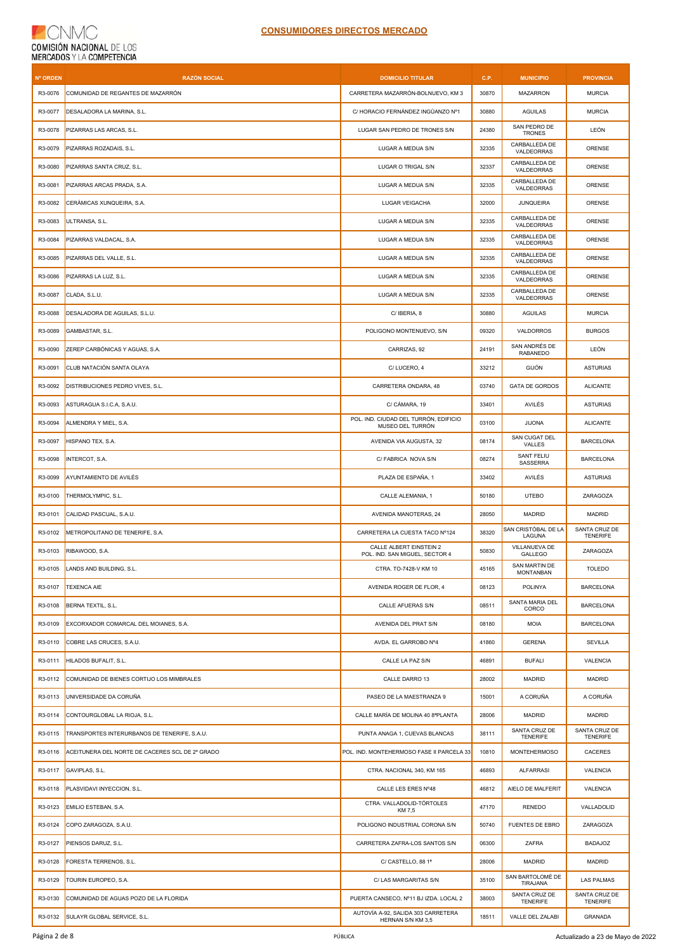| Nº ORDEN | <b>RAZÓN SOCIAL</b>                             | <b>DOMICILIO TITULAR</b>                                  | C.P.  | <b>MUNICIPIO</b>                  | <b>PROVINCIA</b>                 |
|----------|-------------------------------------------------|-----------------------------------------------------------|-------|-----------------------------------|----------------------------------|
| R3-0076  | COMUNIDAD DE REGANTES DE MAZARRÓN               | CARRETERA MAZARRÓN-BOLNUEVO, KM 3                         | 30870 | <b>MAZARRON</b>                   | <b>MURCIA</b>                    |
| R3-0077  | DESALADORA LA MARINA, S.L.                      | C/ HORACIO FERNÁNDEZ INGÜANZO Nº1                         | 30880 | <b>AGUILAS</b>                    | <b>MURCIA</b>                    |
| R3-0078  | PIZARRAS LAS ARCAS, S.L.                        | LUGAR SAN PEDRO DE TRONES S/N                             | 24380 | SAN PEDRO DE<br><b>TRONES</b>     | LEÓN                             |
| R3-0079  | PIZARRAS ROZADAIS, S.L.                         | LUGAR A MEDUA S/N                                         | 32335 | CARBALLEDA DE<br>VALDEORRAS       | <b>ORENSE</b>                    |
| R3-0080  | PIZARRAS SANTA CRUZ, S.L.                       | LUGAR O TRIGAL S/N                                        | 32337 | CARBALLEDA DE<br>VALDEORRAS       | ORENSE                           |
| R3-0081  | PIZARRAS ARCAS PRADA, S.A.                      | LUGAR A MEDUA S/N                                         | 32335 | CARBALLEDA DE<br>VALDEORRAS       | ORENSE                           |
| R3-0082  | CERÁMICAS XUNQUEIRA, S.A.                       | <b>LUGAR VEIGACHA</b>                                     | 32000 | <b>JUNQUEIRA</b>                  | ORENSE                           |
| R3-0083  | ULTRANSA, S.L.                                  | LUGAR A MEDUA S/N                                         | 32335 | CARBALLEDA DE<br>VALDEORRAS       | ORENSE                           |
| R3-0084  | PIZARRAS VALDACAL, S.A.                         | LUGAR A MEDUA S/N                                         | 32335 | CARBALLEDA DE<br>VALDEORRAS       | ORENSE                           |
| R3-0085  | PIZARRAS DEL VALLE, S.L.                        | LUGAR A MEDUA S/N                                         | 32335 | CARBALLEDA DE<br>VALDEORRAS       | ORENSE                           |
| R3-0086  | PIZARRAS LA LUZ, S.L.                           | LUGAR A MEDUA S/N                                         | 32335 | CARBALLEDA DE<br>VALDEORRAS       | ORENSE                           |
| R3-0087  | CLADA, S.L.U.                                   | LUGAR A MEDUA S/N                                         | 32335 | CARBALLEDA DE<br>VALDEORRAS       | ORENSE                           |
| R3-0088  | DESALADORA DE AGUILAS, S.L.U.                   | C/ IBERIA, 8                                              | 30880 | <b>AGUILAS</b>                    | <b>MURCIA</b>                    |
| R3-0089  | GAMBASTAR, S.L.                                 | POLIGONO MONTENUEVO, S/N                                  | 09320 | VALDORROS                         | <b>BURGOS</b>                    |
| R3-0090  | ZEREP CARBÓNICAS Y AGUAS, S.A.                  | CARRIZAS, 92                                              | 24191 | SAN ANDRÉS DE<br><b>RABANEDO</b>  | LEÓN                             |
| R3-0091  | CLUB NATACIÓN SANTA OLAYA                       | C/LUCERO, 4                                               | 33212 | GIJÓN                             | <b>ASTURIAS</b>                  |
| R3-0092  | DISTRIBUCIONES PEDRO VIVES, S.L.                | CARRETERA ONDARA, 48                                      | 03740 | <b>GATA DE GORDOS</b>             | <b>ALICANTE</b>                  |
| R3-0093  | ASTURAGUA S.I.C.A, S.A.U.                       | C/ CÁMARA, 19                                             | 33401 | AVILÉS                            | <b>ASTURIAS</b>                  |
| R3-0094  | ALMENDRA Y MIEL, S.A.                           | POL. IND. CIUDAD DEL TURRÓN, EDIFICIO<br>MUSEO DEL TURRÓN | 03100 | <b>JIJONA</b>                     | <b>ALICANTE</b>                  |
| R3-0097  | HISPANO TEX, S.A.                               | AVENIDA VIA AUGUSTA, 32                                   | 08174 | SAN CUGAT DEL<br>VALLES           | <b>BARCELONA</b>                 |
| R3-0098  | INTERCOT, S.A.                                  | C/ FABRICA NOVA S/N                                       | 08274 | SANT FELIU<br>SASSERRA            | <b>BARCELONA</b>                 |
| R3-0099  | AYUNTAMIENTO DE AVILÉS                          | PLAZA DE ESPAÑA, 1                                        | 33402 | AVILÉS                            | <b>ASTURIAS</b>                  |
| R3-0100  | THERMOLYMPIC, S.L.                              | CALLE ALEMANIA, 1                                         | 50180 | <b>UTEBO</b>                      | ZARAGOZA                         |
| R3-0101  | CALIDAD PASCUAL, S.A.U.                         | AVENIDA MANOTERAS, 24                                     | 28050 | <b>MADRID</b>                     | <b>MADRID</b>                    |
| R3-0102  | METROPOLITANO DE TENERIFE, S.A.                 | CARRETERA LA CUESTA TACO Nº124                            | 38320 | SAN CRISTÓBAL DE LA<br>LAGUNA     | SANTA CRUZ DE<br><b>TENERIFE</b> |
| R3-0103  | RIBAWOOD, S.A.                                  | CALLE ALBERT EINSTEIN 2<br>POL. IND. SAN MIGUEL, SECTOR 4 | 50830 | VILLANUEVA DE<br>GALLEGO          | ZARAGOZA                         |
| R3-0105  | LANDS AND BUILDING, S.L.                        | CTRA. TO-7428-V KM 10                                     | 45165 | SAN MARTIN DE<br><b>MONTANBAN</b> | <b>TOLEDO</b>                    |
| R3-0107  | <b>TEXENCA AIE</b>                              | AVENIDA ROGER DE FLOR, 4                                  | 08123 | POLINYA                           | <b>BARCELONA</b>                 |
| R3-0108  | BERNA TEXTIL, S.L.                              | CALLE AFUERAS S/N                                         | 08511 | SANTA MARIA DEL<br>CORCO          | <b>BARCELONA</b>                 |
| R3-0109  | EXCORXADOR COMARCAL DEL MOIANES, S.A.           | AVENIDA DEL PRAT S/N                                      | 08180 | <b>MOIA</b>                       | <b>BARCELONA</b>                 |
| R3-0110  | COBRE LAS CRUCES, S.A.U.                        | AVDA. EL GARROBO Nº4                                      | 41860 | <b>GERENA</b>                     | SEVILLA                          |
| R3-0111  | HILADOS BUFALIT, S.L.                           | CALLE LA PAZ S/N                                          | 46891 | <b>BUFALI</b>                     | <b>VALENCIA</b>                  |
| R3-0112  | COMUNIDAD DE BIENES CORTIJO LOS MIMBRALES       | CALLE DARRO 13                                            | 28002 | <b>MADRID</b>                     | <b>MADRID</b>                    |
| R3-0113  | UNIVERSIDADE DA CORUÑA                          | PASEO DE LA MAESTRANZA 9                                  | 15001 | A CORUÑA                          | A CORUÑA                         |
| R3-0114  | CONTOURGLOBAL LA RIOJA, S.L.                    | CALLE MARÍA DE MOLINA 40 8ªPLANTA                         | 28006 | <b>MADRID</b>                     | MADRID                           |
| R3-0115  | TRANSPORTES INTERURBANOS DE TENERIFE, S.A.U.    | PUNTA ANAGA 1, CUEVAS BLANCAS                             | 38111 | SANTA CRUZ DE<br>TENERIFE         | SANTA CRUZ DE<br><b>TENERIFE</b> |
| R3-0116  | ACEITUNERA DEL NORTE DE CACERES SCL DE 2º GRADO | POL. IND. MONTEHERMOSO FASE II PARCELA 33                 | 10810 | <b>MONTEHERMOSO</b>               | CACERES                          |
| R3-0117  | GAVIPLAS, S.L.                                  | CTRA. NACIONAL 340, KM 165                                | 46893 | <b>ALFARRASI</b>                  | VALENCIA                         |
| R3-0118  | PLASVIDAVI INYECCION, S.L.                      | CALLE LES ERES Nº48                                       | 46812 | AIELO DE MALFERIT                 | VALENCIA                         |
| R3-0123  | EMILIO ESTEBAN, S.A.                            | CTRA. VALLADOLID-TÓRTOLES<br>KM 7,5                       | 47170 | <b>RENEDO</b>                     | VALLADOLID                       |
| R3-0124  | COPO ZARAGOZA, S.A.U.                           | POLIGONO INDUSTRIAL CORONA S/N                            | 50740 | FUENTES DE EBRO                   | ZARAGOZA                         |
| R3-0127  | PIENSOS DARUZ, S.L.                             | CARRETERA ZAFRA-LOS SANTOS S/N                            | 06300 | ZAFRA                             | <b>BADAJOZ</b>                   |
| R3-0128  | FORESTA TERRENOS, S.L.                          | C/ CASTELLO, 88 1ª                                        | 28006 | <b>MADRID</b>                     | <b>MADRID</b>                    |
| R3-0129  | TOURIN EUROPEO, S.A.                            | C/ LAS MARGARITAS S/N                                     | 35100 | SAN BARTOLOMÉ DE<br>TIRAJANA      | LAS PALMAS                       |
| R3-0130  | COMUNIDAD DE AGUAS POZO DE LA FLORIDA           | PUERTA CANSECO, Nº11 BJ IZDA. LOCAL 2                     | 38003 | SANTA CRUZ DE<br><b>TENERIFE</b>  | SANTA CRUZ DE<br><b>TENERIFE</b> |
| R3-0132  | SULAYR GLOBAL SERVICE, S.L.                     | AUTOVÍA A-92, SALIDA 303 CARRETERA<br>HERNAN S/N KM 3,5   | 18511 | VALLE DEL ZALABI                  | GRANADA                          |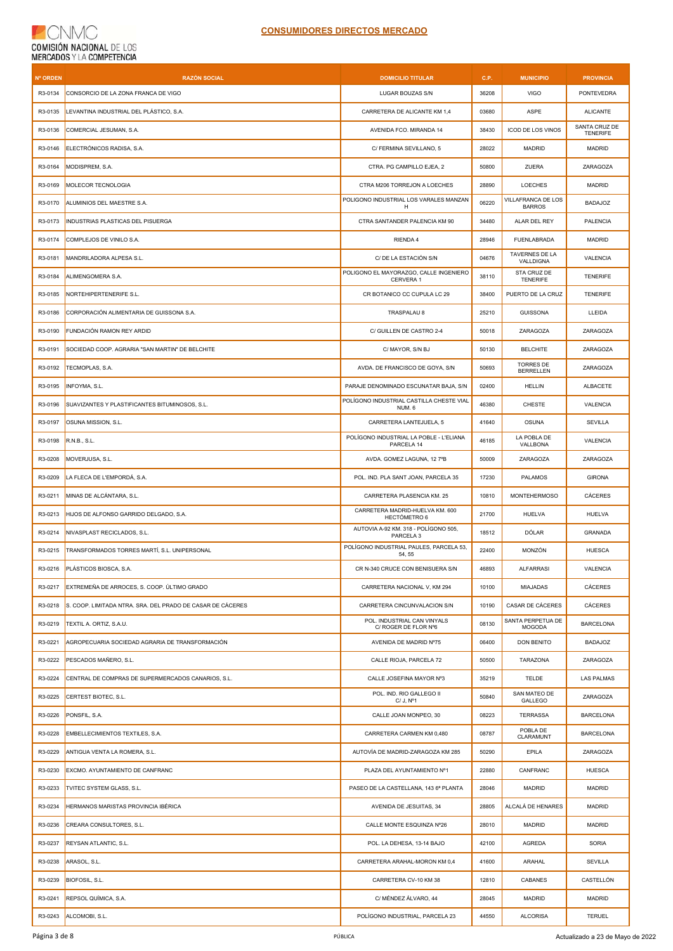| <b>Nº ORDEN</b> | <b>RAZÓN SOCIAL</b>                                        | <b>DOMICILIO TITULAR</b>                                     | C.P.  | <b>MUNICIPIO</b>                     | <b>PROVINCIA</b>                 |
|-----------------|------------------------------------------------------------|--------------------------------------------------------------|-------|--------------------------------------|----------------------------------|
| R3-0134         | CONSORCIO DE LA ZONA FRANCA DE VIGO                        | LUGAR BOUZAS S/N                                             | 36208 | <b>VIGO</b>                          | <b>PONTEVEDRA</b>                |
| R3-0135         | LEVANTINA INDUSTRIAL DEL PLÁSTICO, S.A.                    | CARRETERA DE ALICANTE KM 1,4                                 | 03680 | ASPE                                 | <b>ALICANTE</b>                  |
| R3-0136         | COMERCIAL JESUMAN, S.A.                                    | AVENIDA FCO. MIRANDA 14                                      | 38430 | ICOD DE LOS VINOS                    | SANTA CRUZ DE<br><b>TENERIFE</b> |
| R3-0146         | ELECTRÓNICOS RADISA, S.A.                                  | C/ FERMINA SEVILLANO, 5                                      | 28022 | MADRID                               | <b>MADRID</b>                    |
| R3-0164         | MODISPREM, S.A.                                            | CTRA. PG CAMPILLO EJEA, 2                                    | 50800 | ZUERA                                | ZARAGOZA                         |
| R3-0169         | MOLECOR TECNOLOGIA                                         | CTRA M206 TORREJON A LOECHES                                 | 28890 | <b>LOECHES</b>                       | <b>MADRID</b>                    |
| R3-0170         | ALUMINIOS DEL MAESTRE S.A.                                 | POLIGONO INDUSTRIAL LOS VARALES MANZAN<br>H                  | 06220 | VILLAFRANCA DE LOS<br><b>BARROS</b>  | <b>BADAJOZ</b>                   |
| R3-0173         | INDUSTRIAS PLASTICAS DEL PISUERGA                          | CTRA SANTANDER PALENCIA KM 90                                | 34480 | ALAR DEL REY                         | PALENCIA                         |
| R3-0174         | COMPLEJOS DE VINILO S.A.                                   | RIENDA 4                                                     | 28946 | FUENLABRADA                          | <b>MADRID</b>                    |
| R3-0181         | MANDRILADORA ALPESA S.L.                                   | C/ DE LA ESTACIÓN S/N                                        | 04676 | TAVERNES DE LA<br>VALLDIGNA          | VALENCIA                         |
| R3-0184         | ALIMENGOMERA S.A.                                          | POLIGONO EL MAYORAZGO, CALLE INGENIERO<br>CERVERA 1          | 38110 | STA CRUZ DE<br><b>TENERIFE</b>       | <b>TENERIFE</b>                  |
| R3-0185         | NORTEHIPERTENERIFE S.L.                                    | CR BOTANICO CC CUPULA LC 29                                  | 38400 | PUERTO DE LA CRUZ                    | <b>TENERIFE</b>                  |
| R3-0186         | CORPORACIÓN ALIMENTARIA DE GUISSONA S.A.                   | TRASPALAU 8                                                  | 25210 | <b>GUISSONA</b>                      | LLEIDA                           |
| R3-0190         | FUNDACIÓN RAMON REY ARDID                                  | C/ GUILLEN DE CASTRO 2-4                                     | 50018 | ZARAGOZA                             | ZARAGOZA                         |
| R3-0191         | SOCIEDAD COOP. AGRARIA "SAN MARTIN" DE BELCHITE            | C/ MAYOR, S/N BJ                                             | 50130 | <b>BELCHITE</b>                      | ZARAGOZA                         |
| R3-0192         | TECMOPLAS, S.A.                                            | AVDA. DE FRANCISCO DE GOYA, S/N                              | 50693 | <b>TORRES DE</b><br><b>BERRELLEN</b> | ZARAGOZA                         |
| R3-0195         | INFOYMA, S.L.                                              | PARAJE DENOMINADO ESCUNATAR BAJA, S/N                        | 02400 | <b>HELLIN</b>                        | <b>ALBACETE</b>                  |
| R3-0196         | SUAVIZANTES Y PLASTIFICANTES BITUMINOSOS, S.L.             | POLÍGONO INDUSTRIAL CASTILLA CHESTE VIAL<br>NUM. 6           | 46380 | <b>CHESTE</b>                        | VALENCIA                         |
| R3-0197         | OSUNA MISSION, S.L.                                        | CARRETERA LANTEJUELA, 5                                      | 41640 | <b>OSUNA</b>                         | SEVILLA                          |
| R3-0198         | R.N.B., S.L.                                               | POLÍGONO INDUSTRIAL LA POBLE - L'ELIANA<br>PARCELA 14        | 46185 | LA POBLA DE<br>VALLBONA              | VALENCIA                         |
| R3-0208         | MOVERJUSA, S.L.                                            | AVDA. GOMEZ LAGUNA, 12 7°B                                   | 50009 | ZARAGOZA                             | ZARAGOZA                         |
| R3-0209         | LA FLECA DE L'EMPORDÁ, S.A.                                | POL. IND. PLA SANT JOAN, PARCELA 35                          | 17230 | PALAMOS                              | <b>GIRONA</b>                    |
| R3-0211         | MINAS DE ALCÁNTARA, S.L.                                   | CARRETERA PLASENCIA KM. 25                                   | 10810 | <b>MONTEHERMOSO</b>                  | CÁCERES                          |
| R3-0213         | HIJOS DE ALFONSO GARRIDO DELGADO, S.A.                     | CARRETERA MADRID-HUELVA KM. 600<br><b>HECTÓMETRO 6</b>       | 21700 | <b>HUELVA</b>                        | HUELVA                           |
| R3-0214         | NIVASPLAST RECICLADOS, S.L.                                | AUTOVIA A-92 KM. 318 - POLÍGONO 505,<br>PARCELA <sub>3</sub> | 18512 | DÓLAR                                | <b>GRANADA</b>                   |
| R3-0215         | TRANSFORMADOS TORRES MARTÍ, S.L. UNIPERSONAL               | POLÍGONO INDUSTRIAL PAULES, PARCELA 53,<br>54, 55            | 22400 | MONZÓN                               | <b>HUESCA</b>                    |
| R3-0216         | PLÁSTICOS BIOSCA, S.A.                                     | CR N-340 CRUCE CON BENISUERA S/N                             | 46893 | <b>ALFARRASI</b>                     | VALENCIA                         |
| R3-0217         | EXTREMEÑA DE ARROCES, S. COOP. ÚLTIMO GRADO                | CARRETERA NACIONAL V, KM 294                                 | 10100 | <b>MIAJADAS</b>                      | CÁCERES                          |
| R3-0218         | S. COOP. LIMITADA NTRA. SRA. DEL PRADO DE CASAR DE CÁCERES | CARRETERA CINCUNVALACION S/N                                 | 10190 | CASAR DE CÁCERES                     | CÁCERES                          |
| R3-0219         | TEXTIL A. ORTIZ, S.A.U.                                    | POL. INDUSTRIAL CAN VINYALS<br>C/ ROGER DE FLOR Nº6          | 08130 | SANTA PERPETUA DE<br><b>MOGODA</b>   | <b>BARCELONA</b>                 |
| R3-0221         | AGROPECUARIA SOCIEDAD AGRARIA DE TRANSFORMACIÓN            | AVENIDA DE MADRID Nº75                                       | 06400 | <b>DON BENITO</b>                    | <b>BADAJOZ</b>                   |
| R3-0222         | PESCADOS MAÑERO, S.L.                                      | CALLE RIOJA, PARCELA 72                                      | 50500 | <b>TARAZONA</b>                      | ZARAGOZA                         |
| R3-0224         | CENTRAL DE COMPRAS DE SUPERMERCADOS CANARIOS, S.L.         | CALLE JOSEFINA MAYOR Nº3                                     | 35219 | TELDE                                | LAS PALMAS                       |
| R3-0225         | CERTEST BIOTEC, S.L.                                       | POL. IND. RIO GALLEGO II<br>C/J, N <sup>o</sup> 1            | 50840 | SAN MATEO DE<br>GALLEGO              | ZARAGOZA                         |
| R3-0226         | PONSFIL, S.A.                                              | CALLE JOAN MONPEO, 30                                        | 08223 | <b>TERRASSA</b>                      | <b>BARCELONA</b>                 |
| R3-0228         | EMBELLECIMIENTOS TEXTILES, S.A.                            | CARRETERA CARMEN KM 0,480                                    | 08787 | POBLA DE<br>CLARAMUNT                | <b>BARCELONA</b>                 |
| R3-0229         | ANTIGUA VENTA LA ROMERA, S.L.                              | AUTOVÍA DE MADRID-ZARAGOZA KM 285                            | 50290 | EPILA                                | ZARAGOZA                         |
| R3-0230         | EXCMO. AYUNTAMIENTO DE CANFRANC                            | PLAZA DEL AYUNTAMIENTO Nº1                                   | 22880 | CANFRANC                             | <b>HUESCA</b>                    |
| R3-0233         | TVITEC SYSTEM GLASS, S.L.                                  | PASEO DE LA CASTELLANA, 143 6ª PLANTA                        | 28046 | MADRID                               | <b>MADRID</b>                    |
| R3-0234         | HERMANOS MARISTAS PROVINCIA IBÉRICA                        | AVENIDA DE JESUITAS, 34                                      | 28805 | ALCALÁ DE HENARES                    | <b>MADRID</b>                    |
| R3-0236         | CREARA CONSULTORES, S.L.                                   | CALLE MONTE ESQUINZA Nº26                                    | 28010 | <b>MADRID</b>                        | MADRID                           |
| R3-0237         | REYSAN ATLANTIC, S.L.                                      | POL. LA DEHESA, 13-14 BAJO                                   | 42100 | AGREDA                               | <b>SORIA</b>                     |
| R3-0238         | ARASOL, S.L.                                               | CARRETERA ARAHAL-MORON KM 0,4                                | 41600 | ARAHAL                               | SEVILLA                          |
| R3-0239         | BIOFOSIL, S.L.                                             | CARRETERA CV-10 KM 38                                        | 12810 | CABANES                              | CASTELLÓN                        |
| R3-0241         | REPSOL QUÍMICA, S.A.                                       | C/ MÉNDEZ ÁLVARO, 44                                         | 28045 | MADRID                               | <b>MADRID</b>                    |
| R3-0243         | ALCOMOBI, S.L.                                             | POLÍGONO INDUSTRIAL, PARCELA 23                              | 44550 | <b>ALCORISA</b>                      | <b>TERUEL</b>                    |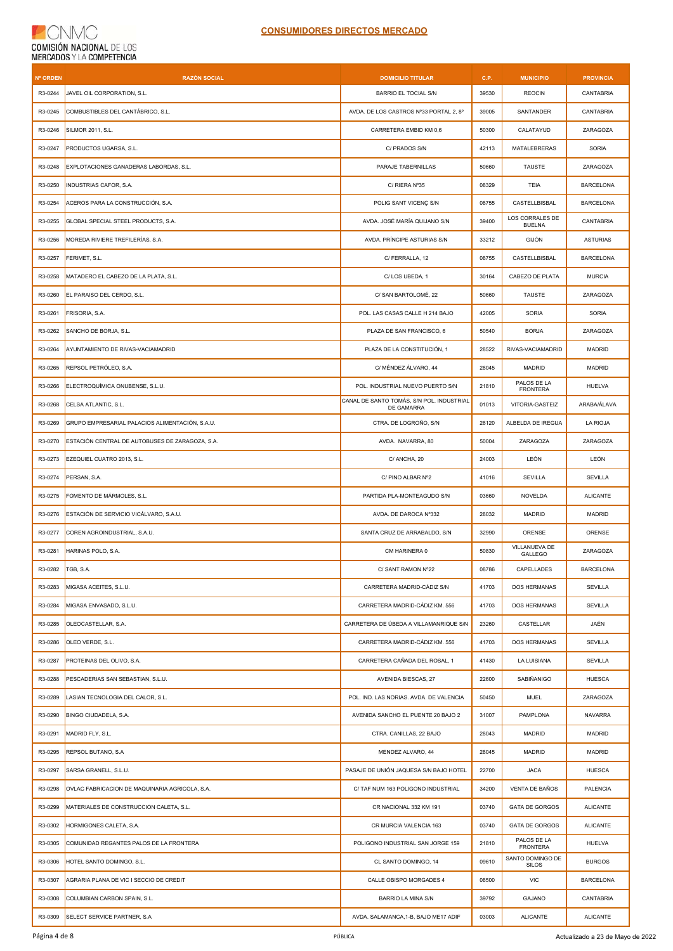| <b>Nº ORDEN</b> | <b>RAZÓN SOCIAL</b>                             | <b>DOMICILIO TITULAR</b>                                | C.P.  | <b>MUNICIPIO</b>                 | <b>PROVINCIA</b> |
|-----------------|-------------------------------------------------|---------------------------------------------------------|-------|----------------------------------|------------------|
| R3-0244         | JAVEL OIL CORPORATION, S.L.                     | <b>BARRIO EL TOCIAL S/N</b>                             | 39530 | <b>REOCIN</b>                    | CANTABRIA        |
| R3-0245         | COMBUSTIBLES DEL CANTÁBRICO, S.L.               | AVDA. DE LOS CASTROS Nº33 PORTAL 2, 8º                  | 39005 | SANTANDER                        | CANTABRIA        |
| R3-0246         | SILMOR 2011, S.L.                               | CARRETERA EMBID KM 0,6                                  | 50300 | CALATAYUD                        | ZARAGOZA         |
| R3-0247         | PRODUCTOS UGARSA, S.L.                          | C/ PRADOS S/N                                           | 42113 | MATALEBRERAS                     | <b>SORIA</b>     |
| R3-0248         | EXPLOTACIONES GANADERAS LABORDAS, S.L.          | PARAJE TABERNILLAS                                      | 50660 | <b>TAUSTE</b>                    | ZARAGOZA         |
| R3-0250         | INDUSTRIAS CAFOR, S.A.                          | C/ RIERA Nº35                                           | 08329 | TEIA                             | <b>BARCELONA</b> |
| R3-0254         | ACEROS PARA LA CONSTRUCCIÓN, S.A.               | POLIG SANT VICENÇ S/N                                   | 08755 | CASTELLBISBAL                    | <b>BARCELONA</b> |
| R3-0255         | GLOBAL SPECIAL STEEL PRODUCTS, S.A.             | AVDA. JOSÉ MARÍA QUIJANO S/N                            | 39400 | LOS CORRALES DE<br><b>BUELNA</b> | CANTABRIA        |
| R3-0256         | MOREDA RIVIERE TREFILERÍAS, S.A.                | AVDA. PRÍNCIPE ASTURIAS S/N                             | 33212 | GIJÓN                            | <b>ASTURIAS</b>  |
| R3-0257         | FERIMET, S.L.                                   | C/ FERRALLA, 12                                         | 08755 | CASTELLBISBAL                    | <b>BARCELONA</b> |
| R3-0258         | MATADERO EL CABEZO DE LA PLATA, S.L.            | C/LOS UBEDA, 1                                          | 30164 | CABEZO DE PLATA                  | <b>MURCIA</b>    |
| R3-0260         | EL PARAISO DEL CERDO, S.L.                      | C/ SAN BARTOLOMÉ, 22                                    | 50660 | TAUSTE                           | ZARAGOZA         |
| R3-0261         | FRISORIA, S.A.                                  | POL. LAS CASAS CALLE H 214 BAJO                         | 42005 | SORIA                            | <b>SORIA</b>     |
| R3-0262         | SANCHO DE BORJA, S.L.                           | PLAZA DE SAN FRANCISCO, 6                               | 50540 | <b>BORJA</b>                     | ZARAGOZA         |
| R3-0264         | AYUNTAMIENTO DE RIVAS-VACIAMADRID               | PLAZA DE LA CONSTITUCIÓN, 1                             | 28522 | RIVAS-VACIAMADRID                | <b>MADRID</b>    |
| R3-0265         | REPSOL PETRÓLEO. S.A.                           | C/ MÉNDEZ ÁLVARO. 44                                    | 28045 | <b>MADRID</b>                    | <b>MADRID</b>    |
| R3-0266         | ELECTROQUÍMICA ONUBENSE, S.L.U.                 | POL. INDUSTRIAL NUEVO PUERTO S/N                        | 21810 | PALOS DE LA<br><b>FRONTERA</b>   | HUELVA           |
| R3-0268         | CELSA ATLANTIC, S.L.                            | CANAL DE SANTO TOMÁS, S/N POL. INDUSTRIAL<br>DE GAMARRA | 01013 | VITORIA-GASTEIZ                  | ARABA/ÁLAVA      |
| R3-0269         | GRUPO EMPRESARIAL PALACIOS ALIMENTACIÓN, S.A.U. | CTRA. DE LOGROÑO, S/N                                   | 26120 | ALBELDA DE IREGUA                | LA RIOJA         |
| R3-0270         | ESTACIÓN CENTRAL DE AUTOBUSES DE ZARAGOZA, S.A. | AVDA. NAVARRA, 80                                       | 50004 | ZARAGOZA                         | ZARAGOZA         |
| R3-0273         | EZEQUIEL CUATRO 2013, S.L.                      | C/ ANCHA, 20                                            | 24003 | LEÓN                             | LEÓN             |
| R3-0274         | PERSAN, S.A.                                    | C/ PINO ALBAR Nº2                                       | 41016 | <b>SEVILLA</b>                   | SEVILLA          |
| R3-0275         | FOMENTO DE MÁRMOLES, S.L.                       | PARTIDA PLA-MONTEAGUDO S/N                              | 03660 | NOVELDA                          | <b>ALICANTE</b>  |
| R3-0276         | ESTACIÓN DE SERVICIO VICÁLVARO, S.A.U.          | AVDA. DE DAROCA Nº332                                   | 28032 | MADRID                           | <b>MADRID</b>    |
| R3-0277         | COREN AGROINDUSTRIAL, S.A.U.                    | SANTA CRUZ DE ARRABALDO, S/N                            | 32990 | ORENSE                           | ORENSE           |
| R3-0281         | HARINAS POLO, S.A.                              | CM HARINERA 0                                           | 50830 | VILLANUEVA DE<br>GALLEGO         | ZARAGOZA         |
| R3-0282         | TGB, S.A.                                       | C/ SANT RAMON Nº22                                      | 08786 | CAPELLADES                       | <b>BARCELONA</b> |
| R3-0283         | MIGASA ACEITES, S.L.U.                          | CARRETERA MADRID-CÁDIZ S/N                              | 41703 | DOS HERMANAS                     | SEVILLA          |
| R3-0284         | MIGASA ENVASADO, S.L.U.                         | CARRETERA MADRID-CÁDIZ KM. 556                          | 41703 | DOS HERMANAS                     | SEVILLA          |
| R3-0285         | OLEOCASTELLAR, S.A.                             | CARRETERA DE ÚBEDA A VILLAMANRIQUE S/N                  | 23260 | CASTELLAR                        | JAÉN             |
| R3-0286         | OLEO VERDE, S.L.                                | CARRETERA MADRID-CÁDIZ KM. 556                          | 41703 | DOS HERMANAS                     | <b>SEVILLA</b>   |
| R3-0287         | PROTEINAS DEL OLIVO, S.A.                       | CARRETERA CAÑADA DEL ROSAL, 1                           | 41430 | LA LUISIANA                      | SEVILLA          |
| R3-0288         | PESCADERIAS SAN SEBASTIAN, S.L.U.               | AVENIDA BIESCAS, 27                                     | 22600 | SABIÑANIGO                       | HUESCA           |
| R3-0289         | LASIAN TECNOLOGIA DEL CALOR, S.L.               | POL. IND. LAS NORIAS. AVDA. DE VALENCIA                 | 50450 | <b>MUEL</b>                      | ZARAGOZA         |
| R3-0290         | BINGO CIUDADELA, S.A.                           | AVENIDA SANCHO EL PUENTE 20 BAJO 2                      | 31007 | PAMPLONA                         | <b>NAVARRA</b>   |
| R3-0291         | MADRID FLY, S.L.                                | CTRA. CANILLAS, 22 BAJO                                 | 28043 | <b>MADRID</b>                    | <b>MADRID</b>    |
| R3-0295         | REPSOL BUTANO, S.A                              | MENDEZ ALVARO, 44                                       | 28045 | MADRID                           | MADRID           |
| R3-0297         | SARSA GRANELL, S.L.U.                           | PASAJE DE UNIÓN JAQUESA S/N BAJO HOTEL                  | 22700 | <b>JACA</b>                      | HUESCA           |
| R3-0298         | OVLAC FABRICACION DE MAQUINARIA AGRICOLA, S.A.  | C/ TAF NUM 163 POLIGONO INDUSTRIAL                      | 34200 | VENTA DE BAÑOS                   | PALENCIA         |
| R3-0299         | MATERIALES DE CONSTRUCCION CALETA, S.L.         | CR NACIONAL 332 KM 191                                  | 03740 | GATA DE GORGOS                   | <b>ALICANTE</b>  |
| R3-0302         | HORMIGONES CALETA, S.A.                         | CR MURCIA VALENCIA 163                                  | 03740 | GATA DE GORGOS                   | <b>ALICANTE</b>  |
| R3-0305         | COMUNIDAD REGANTES PALOS DE LA FRONTERA         | POLIGONO INDUSTRIAL SAN JORGE 159                       | 21810 | PALOS DE LA<br><b>FRONTERA</b>   | HUELVA           |
| R3-0306         | HOTEL SANTO DOMINGO, S.L.                       | CL SANTO DOMINGO, 14                                    | 09610 | SANTO DOMINGO DE<br><b>SILOS</b> | <b>BURGOS</b>    |
| R3-0307         | AGRARIA PLANA DE VIC I SECCIO DE CREDIT         | CALLE OBISPO MORGADES 4                                 | 08500 | VIC                              | <b>BARCELONA</b> |
| R3-0308         | COLUMBIAN CARBON SPAIN, S.L.                    | BARRIO LA MINA S/N                                      | 39792 | GAJANO                           | CANTABRIA        |
| R3-0309         | SELECT SERVICE PARTNER, S.A.                    | AVDA. SALAMANCA, 1-B, BAJO ME17 ADIF                    | 03003 | <b>ALICANTE</b>                  | <b>ALICANTE</b>  |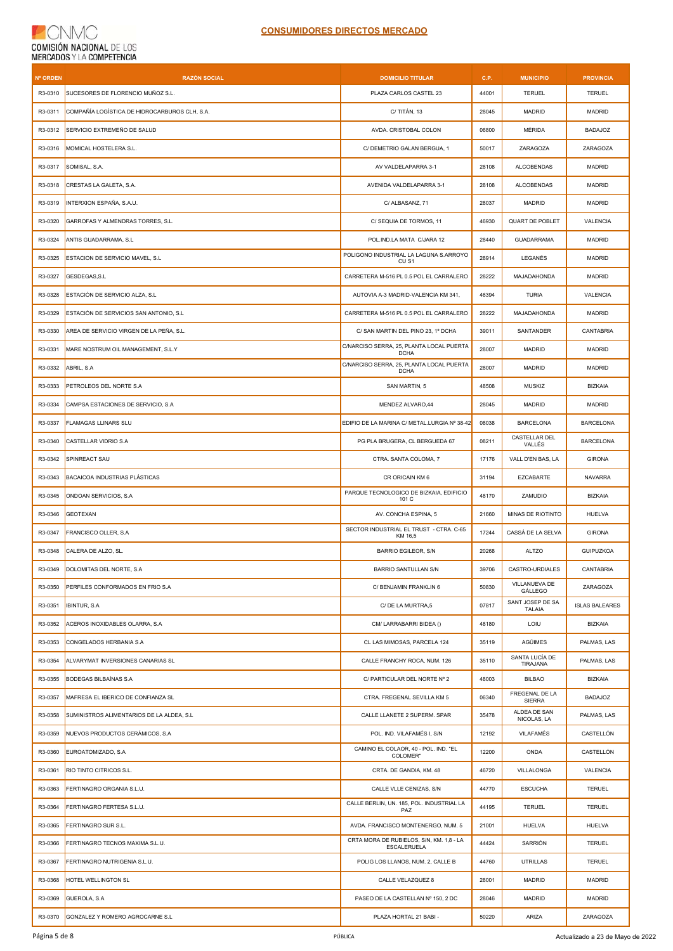| Nº ORDEN | <b>RAZÓN SOCIAL</b>                           | <b>DOMICILIO TITULAR</b>                                   | C.P.  | <b>MUNICIPIO</b>                  | <b>PROVINCIA</b>      |
|----------|-----------------------------------------------|------------------------------------------------------------|-------|-----------------------------------|-----------------------|
| R3-0310  | SUCESORES DE FLORENCIO MUÑOZ S.L.             | PLAZA CARLOS CASTEL 23                                     | 44001 | TERUEL                            | <b>TERUEL</b>         |
| R3-0311  | COMPAÑÍA LOGÍSTICA DE HIDROCARBUROS CLH, S.A. | C/TITÁN, 13                                                | 28045 | <b>MADRID</b>                     | <b>MADRID</b>         |
| R3-0312  | SERVICIO EXTREMEÑO DE SALUD                   | AVDA. CRISTOBAL COLON                                      | 06800 | MÉRIDA                            | <b>BADAJOZ</b>        |
| R3-0316  | MOMICAL HOSTELERA S.L.                        | C/ DEMETRIO GALAN BERGUA, 1                                | 50017 | ZARAGOZA                          | ZARAGOZA              |
| R3-0317  | SOMISAL, S.A.                                 | AV VALDELAPARRA 3-1                                        | 28108 | <b>ALCOBENDAS</b>                 | <b>MADRID</b>         |
| R3-0318  | CRESTAS LA GALETA, S.A.                       | AVENIDA VALDELAPARRA 3-1                                   | 28108 | <b>ALCOBENDAS</b>                 | <b>MADRID</b>         |
| R3-0319  | INTERXION ESPAÑA, S.A.U.                      | C/ ALBASANZ, 71                                            | 28037 | <b>MADRID</b>                     | MADRID                |
| R3-0320  | GARROFAS Y ALMENDRAS TORRES, S.L.             | C/ SEQUIA DE TORMOS, 11                                    | 46930 | QUART DE POBLET                   | VALENCIA              |
| R3-0324  | ANTIS GUADARRAMA, S.L                         | POL.IND.LA MATA C/JARA 12                                  | 28440 | <b>GUADARRAMA</b>                 | <b>MADRID</b>         |
| R3-0325  | ESTACION DE SERVICIO MAVEL, S.L               | POLIGONO INDUSTRIAL LA LAGUNA S.ARROYO<br>CU <sub>S1</sub> | 28914 | LEGANÉS                           | <b>MADRID</b>         |
| R3-0327  | GESDEGAS, S.L                                 | CARRETERA M-516 PL 0.5 POL EL CARRALERO                    | 28222 | MAJADAHONDA                       | <b>MADRID</b>         |
| R3-0328  | ESTACIÓN DE SERVICIO ALZA, S.L                | AUTOVIA A-3 MADRID-VALENCIA KM 341,                        | 46394 | <b>TURIA</b>                      | VALENCIA              |
| R3-0329  | ESTACIÓN DE SERVICIOS SAN ANTONIO, S.L.       | CARRETERA M-516 PL 0.5 POL EL CARRALERO                    | 28222 | MAJADAHONDA                       | <b>MADRID</b>         |
| R3-0330  | AREA DE SERVICIO VIRGEN DE LA PEÑA. S.L.      | C/ SAN MARTIN DEL PINO 23, 1º DCHA                         | 39011 | SANTANDER                         | CANTABRIA             |
| R3-0331  | MARE NOSTRUM OIL MANAGEMENT, S.L.Y            | C/NARCISO SERRA, 25, PLANTA LOCAL PUERTA<br><b>DCHA</b>    | 28007 | <b>MADRID</b>                     | <b>MADRID</b>         |
| R3-0332  | ABRIL, S.A                                    | C/NARCISO SERRA, 25, PLANTA LOCAL PUERTA<br><b>DCHA</b>    | 28007 | <b>MADRID</b>                     | <b>MADRID</b>         |
| R3-0333  | PETROLEOS DEL NORTE S.A                       | SAN MARTIN, 5                                              | 48508 | <b>MUSKIZ</b>                     | <b>BIZKAIA</b>        |
| R3-0334  | CAMPSA ESTACIONES DE SERVICIO, S.A            | MENDEZ ALVARO,44                                           | 28045 | MADRID                            | <b>MADRID</b>         |
| R3-0337  | FLAMAGAS LLINARS SLU                          | EDIFIO DE LA MARINA C/ METAL.LURGIA Nº 38-42               | 08038 | <b>BARCELONA</b>                  | <b>BARCELONA</b>      |
| R3-0340  | CASTELLAR VIDRIO S.A                          | PG PLA BRUGERA, CL BERGUEDA 67                             | 08211 | CASTELLAR DEL<br>VALLÉS           | <b>BARCELONA</b>      |
| R3-0342  | SPINREACT SAU                                 | CTRA. SANTA COLOMA, 7                                      | 17176 | VALL D'EN BAS, LA                 | <b>GIRONA</b>         |
| R3-0343  | <b>BACAICOA INDUSTRIAS PLÁSTICAS</b>          | CR ORICAIN KM 6                                            | 31194 | <b>EZCABARTE</b>                  | <b>NAVARRA</b>        |
| R3-0345  | ONDOAN SERVICIOS, S.A.                        | PARQUE TECNOLOGICO DE BIZKAIA, EDIFICIO<br>101 C           | 48170 | ZAMUDIO                           | <b>BIZKAIA</b>        |
| R3-0346  | <b>GEOTEXAN</b>                               | AV. CONCHA ESPINA, 5                                       | 21660 | MINAS DE RIOTINTO                 | <b>HUELVA</b>         |
| R3-0347  | FRANCISCO OLLER, S.A                          | SECTOR INDUSTRIAL EL TRUST - CTRA. C-65<br>KM 16.5         | 17244 | CASSÁ DE LA SELVA                 | <b>GIRONA</b>         |
| R3-0348  | CALERA DE ALZO, SL.                           | <b>BARRIO EGILEOR, S/N</b>                                 | 20268 | <b>ALTZO</b>                      | <b>GUIPUZKOA</b>      |
|          | R3-0349 DOLOMITAS DEL NORTE, S.A              | <b>BARRIO SANTULLAN S/N</b>                                | 39706 | CASTRO-URDIALES                   | CANTABRIA             |
| R3-0350  | PERFILES CONFORMADOS EN FRIO S.A              | C/ BENJAMIN FRANKLIN 6                                     | 50830 | VILLANUEVA DE<br>GÁLLEGO          | ZARAGOZA              |
| R3-0351  | <b>IBINTUR, S.A.</b>                          | C/ DE LA MURTRA,5                                          | 07817 | SANT JOSEP DE SA<br><b>TALAIA</b> | <b>ISLAS BALEARES</b> |
| R3-0352  | ACEROS INOXIDABLES OLARRA, S.A                | CM/ LARRABARRI BIDEA ()                                    | 48180 | LOIU                              | <b>BIZKAIA</b>        |
| R3-0353  | CONGELADOS HERBANIA S.A                       | CL LAS MIMOSAS, PARCELA 124                                | 35119 | AGÜIMES                           | PALMAS, LAS           |
| R3-0354  | ALVARYMAT INVERSIONES CANARIAS SL             | CALLE FRANCHY ROCA, NUM. 126                               | 35110 | SANTA LUCÍA DE<br>TIRAJANA        | PALMAS, LAS           |
| R3-0355  | <b>BODEGAS BILBAÍNAS S.A</b>                  | C/ PARTICULAR DEL NORTE Nº 2                               | 48003 | <b>BILBAO</b>                     | <b>BIZKAIA</b>        |
| R3-0357  | MAFRESA EL IBERICO DE CONFIANZA SL            | CTRA. FREGENAL SEVILLA KM 5                                | 06340 | FREGENAL DE LA<br><b>SIERRA</b>   | <b>BADAJOZ</b>        |
| R3-0358  | SUMINISTROS ALIMENTARIOS DE LA ALDEA, S.L     | CALLE LLANETE 2 SUPERM. SPAR                               | 35478 | ALDEA DE SAN<br>NICOLAS, LA       | PALMAS, LAS           |
| R3-0359  | NUEVOS PRODUCTOS CERÁMICOS, S.A               | POL. IND. VILAFAMÉS I, S/N                                 | 12192 | VILAFAMÉS                         | CASTELLÓN             |
| R3-0360  | EUROATOMIZADO, S.A                            | CAMINO EL COLAOR, 40 - POL. IND. "EL<br>COLOMER"           | 12200 | ONDA                              | CASTELLÓN             |
| R3-0361  | RIO TINTO CITRICOS S.L.                       | CRTA. DE GANDIA, KM. 48                                    | 46720 | VILLALONGA                        | VALENCIA              |
| R3-0363  | FERTINAGRO ORGANIA S.L.U.                     | CALLE VLLE CENIZAS, S/N                                    | 44770 | <b>ESCUCHA</b>                    | <b>TERUEL</b>         |
| R3-0364  | FERTINAGRO FERTESA S.L.U.                     | CALLE BERLIN, UN. 185, POL. INDUSTRIAL LA<br>PAZ           | 44195 | <b>TERUEL</b>                     | <b>TERUEL</b>         |
| R3-0365  | FERTINAGRO SUR S.L.                           | AVDA. FRANCISCO MONTENERGO, NUM. 5                         | 21001 | HUELVA                            | HUELVA                |
| R3-0366  | FERTINAGRO TECNOS MAXIMA S.L.U.               | CRTA MORA DE RUBIELOS, S/N, KM. 1,8 - LA<br>ESCALERUELA    | 44424 | SARRIÓN                           | <b>TERUEL</b>         |
| R3-0367  | FERTINAGRO NUTRIGENIA S.L.U.                  | POLIG LOS LLANOS, NUM. 2, CALLE B                          | 44760 | UTRILLAS                          | <b>TERUEL</b>         |
| R3-0368  | HOTEL WELLINGTON SL                           | CALLE VELAZQUEZ 8                                          | 28001 | <b>MADRID</b>                     | <b>MADRID</b>         |
| R3-0369  | GUEROLA, S.A.                                 | PASEO DE LA CASTELLAN Nº 150, 2 DC                         | 28046 | <b>MADRID</b>                     | <b>MADRID</b>         |
| R3-0370  | GONZALEZ Y ROMERO AGROCARNE S.L               | PLAZA HORTAL 21 BABI -                                     | 50220 | ARIZA                             | ZARAGOZA              |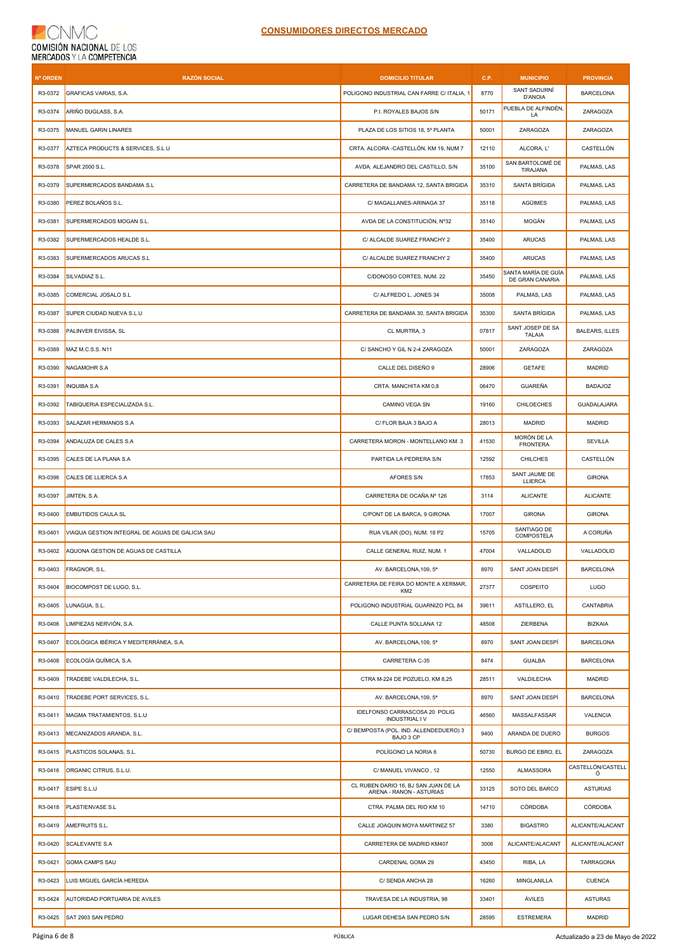| <b>Nº ORDEN</b> | <b>RAZÓN SOCIAL</b>                             | <b>DOMICILIO TITULAR</b>                                         | C.P.  | <b>MUNICIPIO</b>                       | <b>PROVINCIA</b>       |
|-----------------|-------------------------------------------------|------------------------------------------------------------------|-------|----------------------------------------|------------------------|
| R3-0372         | GRAFICAS VARIAS, S.A.                           | POLIGONO INDUSTRIAL CAN FARRE C/ ITALIA, 1                       | 8770  | SANT SADURNÍ<br>D'ANOIA                | <b>BARCELONA</b>       |
| R3-0374         | ARIÑO DUGLASS, S.A.                             | P.I. ROYALES BAJOS S/N                                           | 50171 | PUEBLA DE ALFINDÉN,<br>LA              | ZARAGOZA               |
| R3-0375         | MANUEL GARIN LINARES                            | PLAZA DE LOS SITIOS 18, 5° PLANTA                                | 50001 | ZARAGOZA                               | ZARAGOZA               |
| R3-0377         | AZTECA PRODUCTS & SERVICES, S.L.U               | CRTA. ALCORA -CASTELLÓN, KM 19, NUM 7                            | 12110 | ALCORA, L'                             | CASTELLÓN              |
| R3-0378         | SPAR 2000 S.L.                                  | AVDA. ALEJANDRO DEL CASTILLO, S/N                                | 35100 | SAN BARTOLOMÉ DE<br>TIRAJANA           | PALMAS, LAS            |
| R3-0379         | SUPERMERCADOS BANDAMA S.L                       | CARRETERA DE BANDAMA 12, SANTA BRIGIDA                           | 35310 | SANTA BRÍGIDA                          | PALMAS, LAS            |
| R3-0380         | PEREZ BOLAÑOS S.L.                              | C/ MAGALLANES-ARINAGA 37                                         | 35118 | <b>AGÜIMES</b>                         | PALMAS, LAS            |
| R3-0381         | SUPERMERCADOS MOGAN S.L.                        | AVDA DE LA CONSTITUCIÓN, Nº32                                    | 35140 | MOGÁN                                  | PALMAS, LAS            |
| R3-0382         | SUPERMERCADOS HEALDE S.L.                       | C/ ALCALDE SUAREZ FRANCHY 2                                      | 35400 | <b>ARUCAS</b>                          | PALMAS, LAS            |
| R3-0383         | SUPERMERCADOS ARUCAS S.L                        | C/ ALCALDE SUAREZ FRANCHY 2                                      | 35400 | <b>ARUCAS</b>                          | PALMAS, LAS            |
| R3-0384         | SILVADIAZ S.L.                                  | C/DONOSO CORTES, NUM. 22                                         | 35450 | SANTA MARÍA DE GUÍA<br>DE GRAN CANARIA | PALMAS, LAS            |
| R3-0385         | COMERCIAL JOSALO S.L                            | C/ ALFREDO L. JONES 34                                           | 35008 | PALMAS, LAS                            | PALMAS, LAS            |
| R3-0387         | SUPER CIUDAD NUEVA S.L.U                        | CARRETERA DE BANDAMA 30, SANTA BRIGIDA                           | 35300 | SANTA BRÍGIDA                          | PALMAS, LAS            |
| R3-0388         | PALINVER EIVISSA, SL                            | CL MURTRA, 3                                                     | 07817 | SANT JOSEP DE SA<br><b>TALAIA</b>      | <b>BALEARS, ILLES</b>  |
| R3-0389         | MAZ M.C.S.S. N11                                | C/ SANCHO Y GIL N 2-4 ZARAGOZA                                   | 50001 | ZARAGOZA                               | ZARAGOZA               |
| R3-0390         | NAGAMOHR S.A                                    | CALLE DEL DISEÑO 9                                               | 28906 | <b>GETAFE</b>                          | <b>MADRID</b>          |
| R3-0391         | <b>INQUIBA S.A</b>                              | CRTA. MANCHITA KM 0,8                                            | 06470 | <b>GUAREÑA</b>                         | <b>BADAJOZ</b>         |
| R3-0392         | TABIQUERIA ESPECIALIZADA S.L.                   | CAMINO VEGA SN                                                   | 19160 | CHILOECHES                             | GUADALAJARA            |
| R3-0393         | SALAZAR HERMANOS S.A                            | C/ FLOR BAJA 3 BAJO A                                            | 28013 | <b>MADRID</b>                          | MADRID                 |
| R3-0394         | ANDALUZA DE CALES S.A                           | CARRETERA MORON - MONTELLANO KM. 3                               | 41530 | MORÓN DE LA<br><b>FRONTERA</b>         | SEVILLA                |
| R3-0395         | CALES DE LA PLANA S.A                           | PARTIDA LA PEDRERA S/N                                           | 12592 | <b>CHILCHES</b>                        | CASTELLÓN              |
| R3-0396         | CALES DE LLIERCA S.A                            | <b>AFORES S/N</b>                                                | 17853 | SANT JAUME DE<br>LLIERCA               | <b>GIRONA</b>          |
| R3-0397         | JIMTEN, S.A.                                    | CARRETERA DE OCAÑA Nº 126                                        | 3114  | <b>ALICANTE</b>                        | <b>ALICANTE</b>        |
| R3-0400         | <b>EMBUTIDOS CAULA SL</b>                       | C/PONT DE LA BARCA, 9 GIRONA                                     | 17007 | <b>GIRONA</b>                          | <b>GIRONA</b>          |
| R3-0401         | VIAQUA GESTION INTEGRAL DE AGUAS DE GALICIA SAU | RUA VILAR (DO), NUM. 18 P2                                       | 15705 | SANTIAGO DE<br><b>COMPOSTELA</b>       | A CORUÑA               |
| R3-0402         | AQUONA GESTION DE AGUAS DE CASTILLA             | CALLE GENERAL RUIZ, NUM. 1                                       | 47004 | VALLADOLID                             | VALLADOLID             |
| R3-0403         | FRAGNOR, S.L.                                   | AV. BARCELONA, 109, 5ª                                           | 8970  | SANT JOAN DESPÍ                        | <b>BARCELONA</b>       |
| R3-0404         | <b>BIOCOMPOST DE LUGO, S.L.</b>                 | CARRETERA DE FEIRA DO MONTE A XERMAR,<br>KM <sub>2</sub>         | 27377 | COSPEITO                               | LUGO                   |
| R3-0405         | LUNAGUA, S.L.                                   | POLIGONO INDUSTRIAL GUARNIZO PCL 84                              | 39611 | ASTILLERO, EL                          | CANTABRIA              |
| R3-0406         | LIMPIEZAS NERVIÓN, S.A.                         | CALLE PUNTA SOLLANA 12                                           | 48508 | ZIERBENA                               | <b>BIZKAIA</b>         |
| R3-0407         | ECOLÓGICA IBÉRICA Y MEDITERRÁNEA, S.A.          | AV. BARCELONA, 109, 5ª                                           | 8970  | SANT JOAN DESPÍ                        | <b>BARCELONA</b>       |
| R3-0408         | ECOLOGÍA QUÍMICA, S.A.                          | CARRETERA C-35                                                   | 8474  | <b>GUALBA</b>                          | <b>BARCELONA</b>       |
| R3-0409         | TRADEBE VALDILECHA, S.L.                        | CTRA M-224 DE POZUELO, KM 8,25                                   | 28511 | VALDILECHA                             | <b>MADRID</b>          |
| R3-0410         | TRADEBE PORT SERVICES, S.L.                     | AV. BARCELONA, 109, 5ª                                           | 8970  | SANT JOAN DESPÍ                        | <b>BARCELONA</b>       |
| R3-0411         | MAGMA TRATAMIENTOS, S.L.U                       | IDELFONSO CARRASCOSA 20 POLIG<br><b>INDUSTRIAL IV</b>            | 46560 | MASSALFASSAR                           | VALENCIA               |
| R3-0413         | MECANIZADOS ARANDA, S.L.                        | C/ BEMPOSTA (POL. IND. ALLENDEDUERO) 3<br>BAJO 3 CP              | 9400  | ARANDA DE DUERO                        | <b>BURGOS</b>          |
| R3-0415         | PLASTICOS SOLANAS, S.L.                         | POLÍGONO LA NORIA 6                                              | 50730 | BURGO DE EBRO, EL                      | ZARAGOZA               |
| R3-0416         | ORGANIC CITRUS, S.L.U.                          | C/ MANUEL VIVANCO, 12                                            | 12550 | <b>ALMASSORA</b>                       | CASTELLÓN/CASTELL<br>Ó |
| R3-0417         | ESIPE S.L.U                                     | CL RUBEN DARIO 16, BJ SAN JUAN DE LA<br>ARENA - RANON - ASTURIAS | 33125 | SOTO DEL BARCO                         | <b>ASTURIAS</b>        |
| R3-0418         | PLASTIENVASE S.L                                | CTRA. PALMA DEL RIO KM 10                                        | 14710 | <b>CÓRDOBA</b>                         | CÓRDOBA                |
| R3-0419         | AMEFRUITS S.L.                                  | CALLE JOAQUIN MOYA MARTINEZ 57                                   | 3380  | <b>BIGASTRO</b>                        | ALICANTE/ALACANT       |
| R3-0420         | SCALEVANTE S.A                                  | CARRETERA DE MADRID KM407                                        | 3006  | ALICANTE/ALACANT                       | ALICANTE/ALACANT       |
| R3-0421         | <b>GOMA CAMPS SAU</b>                           | CARDENAL GOMA 29                                                 | 43450 | RIBA, LA                               | TARRAGONA              |
| R3-0423         | LUIS MIGUEL GARCÍA HEREDIA                      | C/ SENDA ANCHA 28                                                | 16260 | MINGLANILLA                            | <b>CUENCA</b>          |
| R3-0424         | AUTORIDAD PORTUARIA DE AVILES                   | TRAVESA DE LA INDUSTRIA, 98                                      | 33401 | ÁVILES                                 | ASTURAS                |
| R3-0425         | SAT 2903 SAN PEDRO                              | LUGAR DEHESA SAN PEDRO S/N                                       | 28595 | <b>ESTREMERA</b>                       | MADRID                 |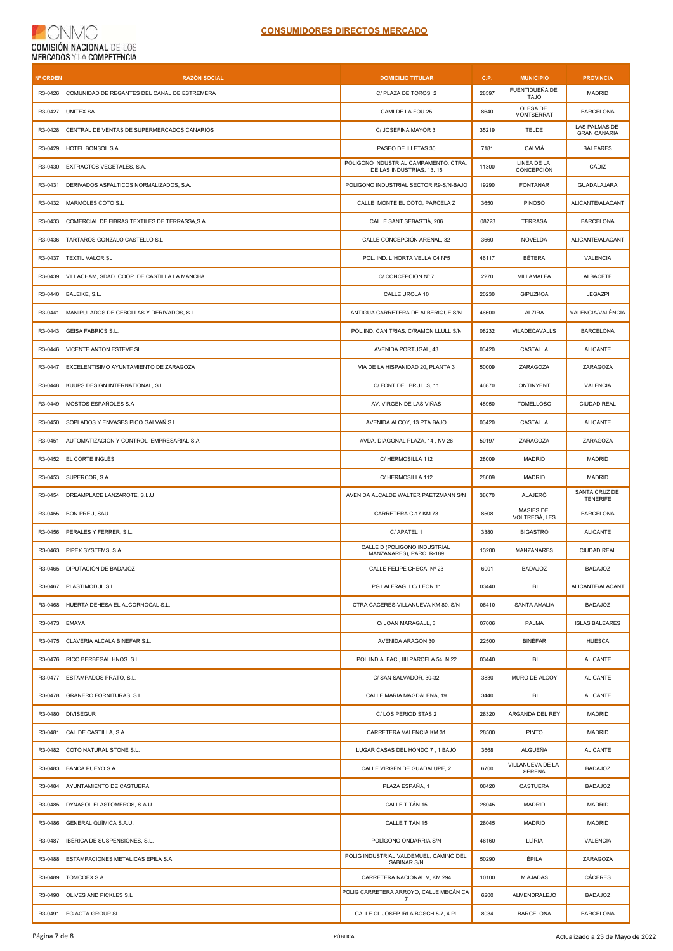| <b>Nº ORDEN</b> | <b>RAZÓN SOCIAL</b>                           | <b>DOMICILIO TITULAR</b>                                           | C.P.  | <b>MUNICIPIO</b>                  | <b>PROVINCIA</b>                     |
|-----------------|-----------------------------------------------|--------------------------------------------------------------------|-------|-----------------------------------|--------------------------------------|
| R3-0426         | COMUNIDAD DE REGANTES DEL CANAL DE ESTREMERA  | C/ PLAZA DE TOROS, 2                                               | 28597 | FUENTIDUEÑA DE<br><b>TAJO</b>     | <b>MADRID</b>                        |
| R3-0427         | <b>UNITEX SA</b>                              | CAMI DE LA FOU 25                                                  | 8640  | OLESA DE<br><b>MONTSERRAT</b>     | <b>BARCELONA</b>                     |
| R3-0428         | CENTRAL DE VENTAS DE SUPERMERCADOS CANARIOS   | C/ JOSEFINA MAYOR 3,                                               | 35219 | <b>TELDE</b>                      | LAS PALMAS DE<br><b>GRAN CANARIA</b> |
| R3-0429         | HOTEL BONSOL S.A.                             | PASEO DE ILLETAS 30                                                | 7181  | CALVIÁ                            | <b>BALEARES</b>                      |
| R3-0430         | EXTRACTOS VEGETALES, S.A.                     | POLIGONO INDUSTRIAL CAMPAMENTO, CTRA.<br>DE LAS INDUSTRIAS, 13, 15 | 11300 | LINEA DE LA<br>CONCEPCIÓN         | CÁDIZ                                |
| R3-0431         | DERIVADOS ASFÁLTICOS NORMALIZADOS, S.A.       | POLIGONO INDUSTRIAL SECTOR R9-S/N-BAJO                             | 19290 | <b>FONTANAR</b>                   | GUADALAJARA                          |
| R3-0432         | MARMOLES COTO S.L                             | CALLE MONTE EL COTO, PARCELA Z                                     | 3650  | <b>PINOSO</b>                     | ALICANTE/ALACANT                     |
| R3-0433         | COMERCIAL DE FIBRAS TEXTILES DE TERRASSA, S.A | CALLE SANT SEBASTIÀ, 206                                           | 08223 | <b>TERRASA</b>                    | <b>BARCELONA</b>                     |
| R3-0436         | TARTAROS GONZALO CASTELLO S.L                 | CALLE CONCEPCIÓN ARENAL, 32                                        | 3660  | NOVELDA                           | ALICANTE/ALACANT                     |
| R3-0437         | <b>TEXTIL VALOR SL</b>                        | POL. IND. L'HORTA VELLA C4 Nº5                                     | 46117 | <b>BÉTERA</b>                     | VALENCIA                             |
| R3-0439         | VILLACHAM, SDAD. COOP. DE CASTILLA LA MANCHA  | C/ CONCEPCION Nº 7                                                 | 2270  | VILLAMALEA                        | <b>ALBACETE</b>                      |
| R3-0440         | BALEIKE, S.L.                                 | CALLE UROLA 10                                                     | 20230 | GIPUZKOA                          | LEGAZPI                              |
| R3-0441         | MANIPULADOS DE CEBOLLAS Y DERIVADOS, S.L.     | ANTIGUA CARRETERA DE ALBERIQUE S/N                                 | 46600 | <b>ALZIRA</b>                     | VALENCIA/VALÈNCIA                    |
| R3-0443         | <b>GEISA FABRICS S.L.</b>                     | POL.IND. CAN TRIAS, C/RAMON LLULL S/N                              | 08232 | VILADECAVALLS                     | <b>BARCELONA</b>                     |
| R3-0446         | VICENTE ANTON ESTEVE SL                       | AVENIDA PORTUGAL, 43                                               | 03420 | CASTALLA                          | <b>ALICANTE</b>                      |
| R3-0447         | EXCELENTISIMO AYUNTAMIENTO DE ZARAGOZA        | VIA DE LA HISPANIDAD 20, PLANTA 3                                  | 50009 | ZARAGOZA                          | ZARAGOZA                             |
| R3-0448         | KUUPS DESIGN INTERNATIONAL, S.L.              | C/ FONT DEL BRULLS, 11                                             | 46870 | ONTINYENT                         | VALENCIA                             |
| R3-0449         | MOSTOS ESPAÑOLES S.A                          | AV. VIRGEN DE LAS VIÑAS                                            | 48950 | <b>TOMELLOSO</b>                  | CIUDAD REAL                          |
| R3-0450         | SOPLADOS Y ENVASES PICO GALVAÑ S.L            | AVENIDA ALCOY, 13 PTA BAJO                                         | 03420 | CASTALLA                          | <b>ALICANTE</b>                      |
| R3-0451         | AUTOMATIZACION Y CONTROL EMPRESARIAL S.A      | AVDA. DIAGONAL PLAZA, 14, NV 26                                    | 50197 | ZARAGOZA                          | ZARAGOZA                             |
| R3-0452         | EL CORTE INGLÉS                               | C/ HERMOSILLA 112                                                  | 28009 | <b>MADRID</b>                     | <b>MADRID</b>                        |
| R3-0453         | SUPERCOR, S.A.                                | C/ HERMOSILLA 112                                                  | 28009 | <b>MADRID</b>                     | <b>MADRID</b>                        |
| R3-0454         | DREAMPLACE LANZAROTE, S.L.U                   | AVENIDA ALCALDE WALTER PAETZMANN S/N                               | 38670 | ALAJERÓ                           | SANTA CRUZ DE<br><b>TENERIFE</b>     |
| R3-0455         | <b>BON PREU, SAU</b>                          | CARRETERA C-17 KM 73                                               | 8508  | MASIES DE<br>VOLTREGÀ, LES        | <b>BARCELONA</b>                     |
| R3-0456         | PERALES Y FERRER, S.L.                        | C/ APATEL 1                                                        | 3380  | <b>BIGASTRO</b>                   | <b>ALICANTE</b>                      |
| R3-0463         | PIPEX SYSTEMS, S.A.                           | CALLE D (POLIGONO INDUSTRIAL<br>MANZANARES), PARC. R-189           | 13200 | <b>MANZANARES</b>                 | CIUDAD REAL                          |
| R3-0465         | DIPUTACIÓN DE BADAJOZ                         | CALLE FELIPE CHECA, Nº 23                                          | 6001  | <b>BADAJOZ</b>                    | BADAJOZ                              |
| R3-0467         | PLASTIMODUL S.L.                              | PG LALFRAG II C/ LEON 11                                           | 03440 | IBI                               | ALICANTE/ALACANT                     |
| R3-0468         | HUERTA DEHESA EL ALCORNOCAL S.L.              | CTRA CACERES-VILLANUEVA KM 80, S/N                                 | 06410 | SANTA AMALIA                      | <b>BADAJOZ</b>                       |
| R3-0473         | <b>EMAYA</b>                                  | C/ JOAN MARAGALL, 3                                                | 07006 | PALMA                             | <b>ISLAS BALEARES</b>                |
| R3-0475         | CLAVERIA ALCALA BINEFAR S.L.                  | AVENIDA ARAGON 30                                                  | 22500 | <b>BINÉFAR</b>                    | <b>HUESCA</b>                        |
| R3-0476         | RICO BERBEGAL HNOS. S.L                       | POL.IND ALFAC, IIII PARCELA 54, N 22                               | 03440 | IBI                               | <b>ALICANTE</b>                      |
| R3-0477         | ESTAMPADOS PRATO, S.L.                        | C/ SAN SALVADOR, 30-32                                             | 3830  | MURO DE ALCOY                     | <b>ALICANTE</b>                      |
| R3-0478         | <b>GRANERO FORNITURAS, S.L</b>                | CALLE MARIA MAGDALENA, 19                                          | 3440  | IBI                               | <b>ALICANTE</b>                      |
| R3-0480         | <b>DIVISEGUR</b>                              | C/LOS PERIODISTAS 2                                                | 28320 | ARGANDA DEL REY                   | MADRID                               |
| R3-0481         | CAL DE CASTILLA, S.A.                         | CARRETERA VALENCIA KM 31                                           | 28500 | <b>PINTO</b>                      | MADRID                               |
| R3-0482         | COTO NATURAL STONE S.L.                       | LUGAR CASAS DEL HONDO 7, 1 BAJO                                    | 3668  | <b>ALGUEÑA</b>                    | <b>ALICANTE</b>                      |
| R3-0483         | BANCA PUEYO S.A.                              | CALLE VIRGEN DE GUADALUPE, 2                                       | 6700  | VILLANUEVA DE LA<br><b>SERENA</b> | <b>BADAJOZ</b>                       |
| R3-0484         | AYUNTAMIENTO DE CASTUERA                      | PLAZA ESPAÑA, 1                                                    | 06420 | CASTUERA                          | BADAJOZ                              |
| R3-0485         | DYNASOL ELASTOMEROS, S.A.U.                   | CALLE TITÁN 15                                                     | 28045 | MADRID                            | MADRID                               |
| R3-0486         | GENERAL QUÍMICA S.A.U.                        | CALLE TITÁN 15                                                     | 28045 | MADRID                            | MADRID                               |
| R3-0487         | IBÉRICA DE SUSPENSIONES, S.L.                 | POLÍGONO ONDARRIA S/N                                              | 46160 | LLÍRIA                            | VALENCIA                             |
| R3-0488         | ESTAMPACIONES METALICAS EPILA S.A             | POLIG INDUSTRIAL VALDEMUEL, CAMINO DEL<br>SABINAR S/N              | 50290 | ÉPILA                             | ZARAGOZA                             |
| R3-0489         | TOMCOEX S.A                                   | CARRETERA NACIONAL V, KM 294                                       | 10100 | <b>MIAJADAS</b>                   | CÁCERES                              |
| R3-0490         | OLIVES AND PICKLES S.L                        | POLIG CARRETERA ARROYO, CALLE MECÁNICA<br>$\overline{7}$           | 6200  | ALMENDRALEJO                      | <b>BADAJOZ</b>                       |
| R3-0491         | FG ACTA GROUP SL                              | CALLE CL JOSEP IRLA BOSCH 5-7, 4 PL                                | 8034  | <b>BARCELONA</b>                  | <b>BARCELONA</b>                     |